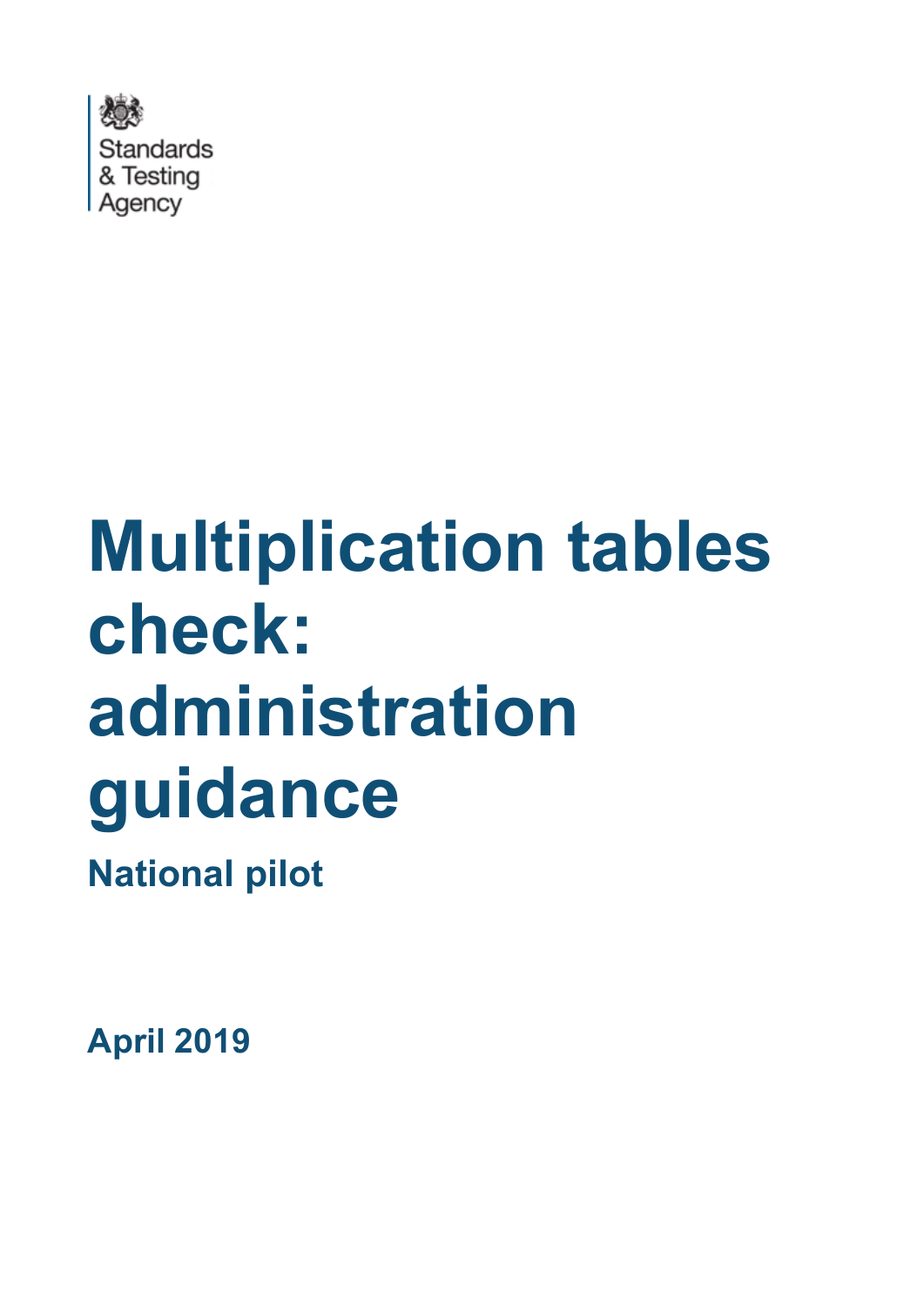

# **Multiplication tables check: administration guidance**

**National pilot**

**April 2019**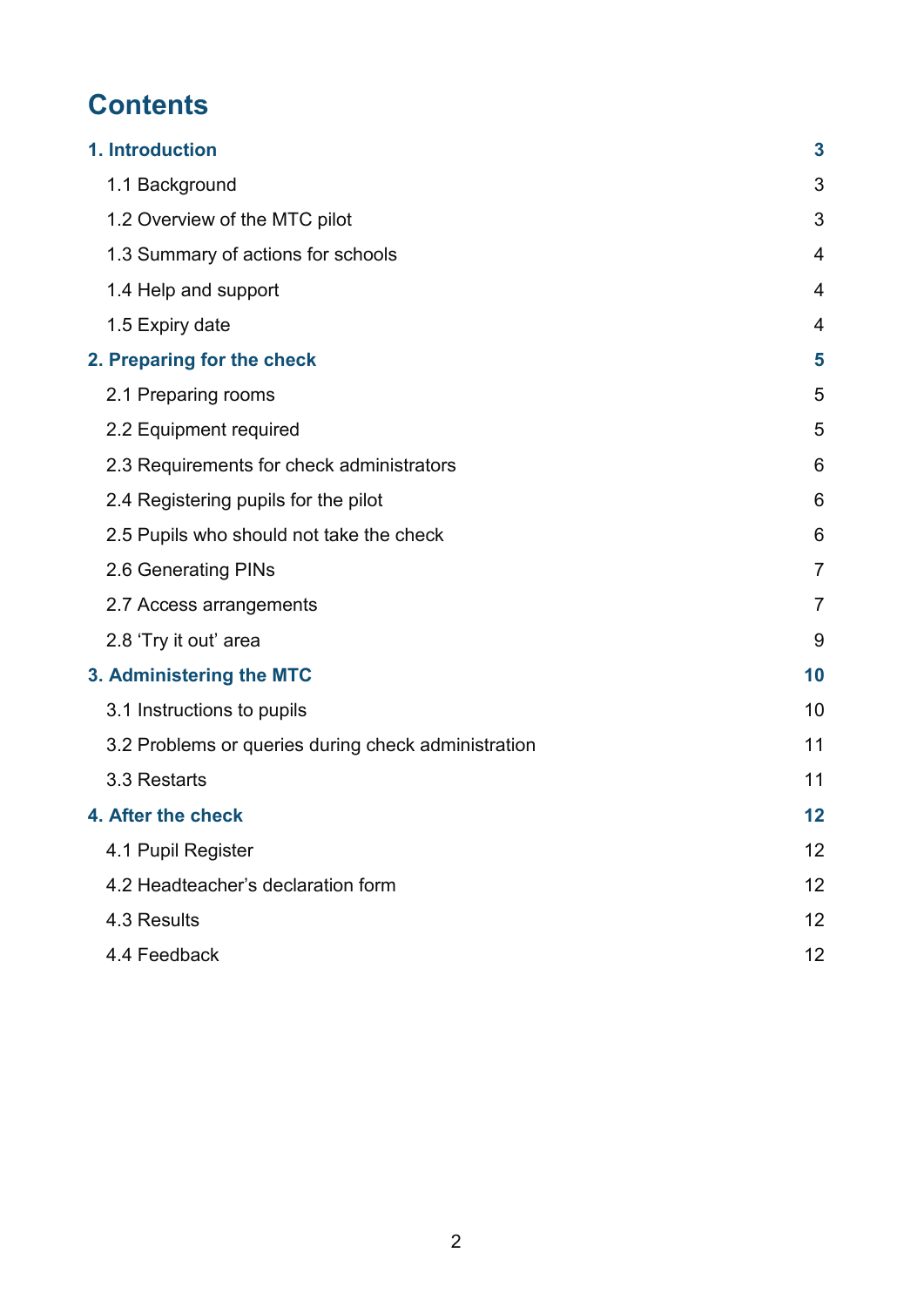# **Contents**

| 1. Introduction                                     | 3              |
|-----------------------------------------------------|----------------|
| 1.1 Background                                      | 3              |
| 1.2 Overview of the MTC pilot                       | 3              |
| 1.3 Summary of actions for schools                  | 4              |
| 1.4 Help and support                                | 4              |
| 1.5 Expiry date                                     | 4              |
| 2. Preparing for the check                          | 5              |
| 2.1 Preparing rooms                                 | 5              |
| 2.2 Equipment required                              | 5              |
| 2.3 Requirements for check administrators           | 6              |
| 2.4 Registering pupils for the pilot                | 6              |
| 2.5 Pupils who should not take the check            | 6              |
| 2.6 Generating PINs                                 | 7              |
| 2.7 Access arrangements                             | $\overline{7}$ |
| 2.8 'Try it out' area                               | 9              |
| 3. Administering the MTC                            | 10             |
| 3.1 Instructions to pupils                          | 10             |
| 3.2 Problems or queries during check administration | 11             |
| 3.3 Restarts                                        | 11             |
| 4. After the check                                  | 12             |
| 4.1 Pupil Register                                  | 12             |
| 4.2 Headteacher's declaration form                  | 12             |
| 4.3 Results                                         | 12             |
| 4.4 Feedback                                        | 12             |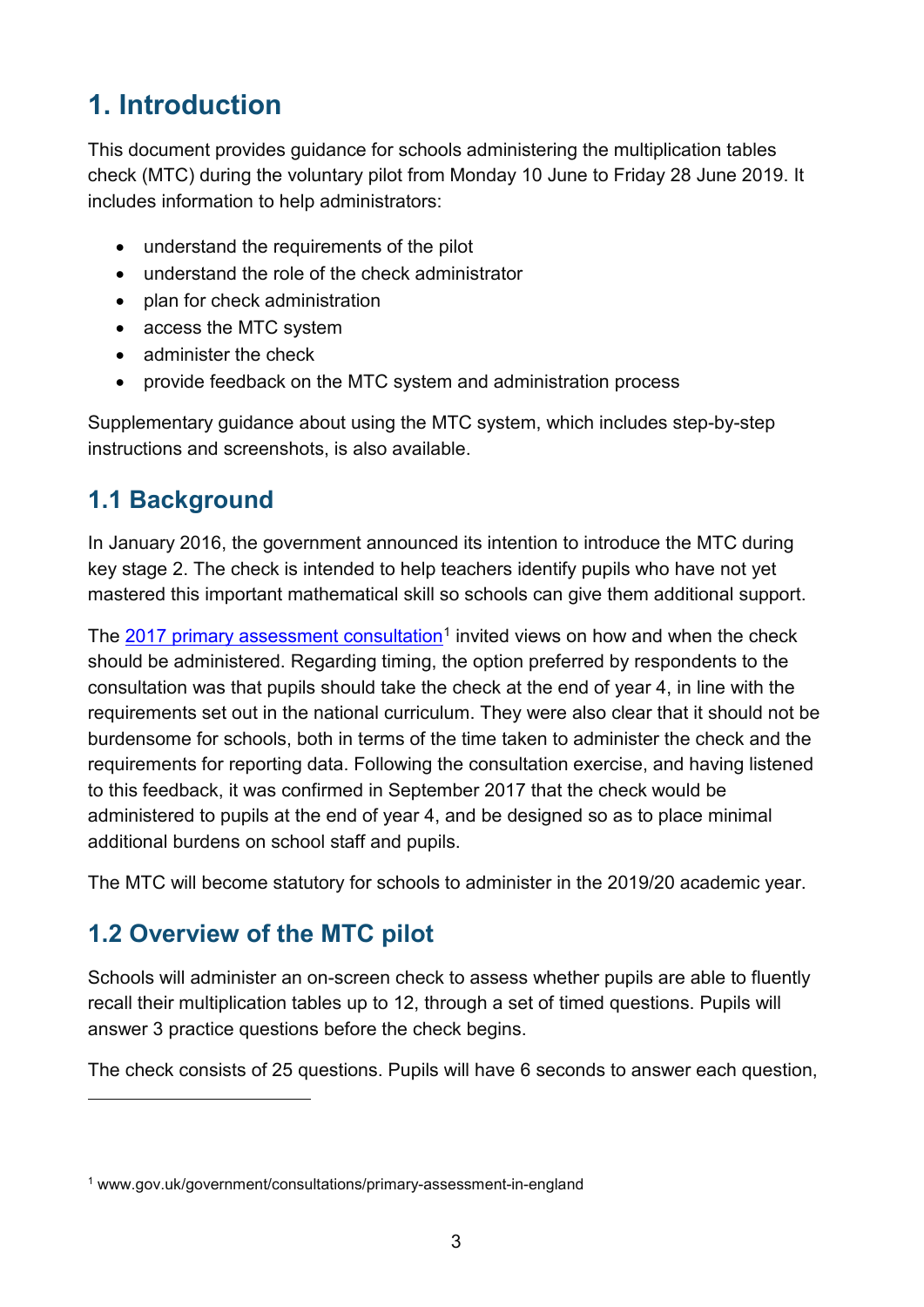# <span id="page-2-0"></span>**1. Introduction**

This document provides guidance for schools administering the multiplication tables check (MTC) during the voluntary pilot from Monday 10 June to Friday 28 June 2019. It includes information to help administrators:

- understand the requirements of the pilot
- understand the role of the check administrator
- plan for check administration
- access the MTC system
- administer the check
- provide feedback on the MTC system and administration process

Supplementary guidance about using the MTC system, which includes step-by-step instructions and screenshots, is also available.

## <span id="page-2-1"></span>**1.1 Background**

In January 2016, the government announced its intention to introduce the MTC during key stage 2. The check is intended to help teachers identify pupils who have not yet mastered this important mathematical skill so schools can give them additional support.

The  $2017$  $2017$  $2017$  [primary assessment consultation](http://www.gov.uk/government/consultations/primary-assessment-in-england)<sup>1</sup> invited views on how and when the check should be administered. Regarding timing, the option preferred by respondents to the consultation was that pupils should take the check at the end of year 4, in line with the requirements set out in the national curriculum. They were also clear that it should not be burdensome for schools, both in terms of the time taken to administer the check and the requirements for reporting data. Following the consultation exercise, and having listened to this feedback, it was confirmed in September 2017 that the check would be administered to pupils at the end of year 4, and be designed so as to place minimal additional burdens on school staff and pupils.

The MTC will become statutory for schools to administer in the 2019/20 academic year.

## <span id="page-2-2"></span>**1.2 Overview of the MTC pilot**

 $\overline{a}$ 

Schools will administer an on-screen check to assess whether pupils are able to fluently recall their multiplication tables up to 12, through a set of timed questions. Pupils will answer 3 practice questions before the check begins.

The check consists of 25 questions. Pupils will have 6 seconds to answer each question,

<span id="page-2-3"></span><sup>1</sup> www.gov.uk/government/consultations/primary-assessment-in-england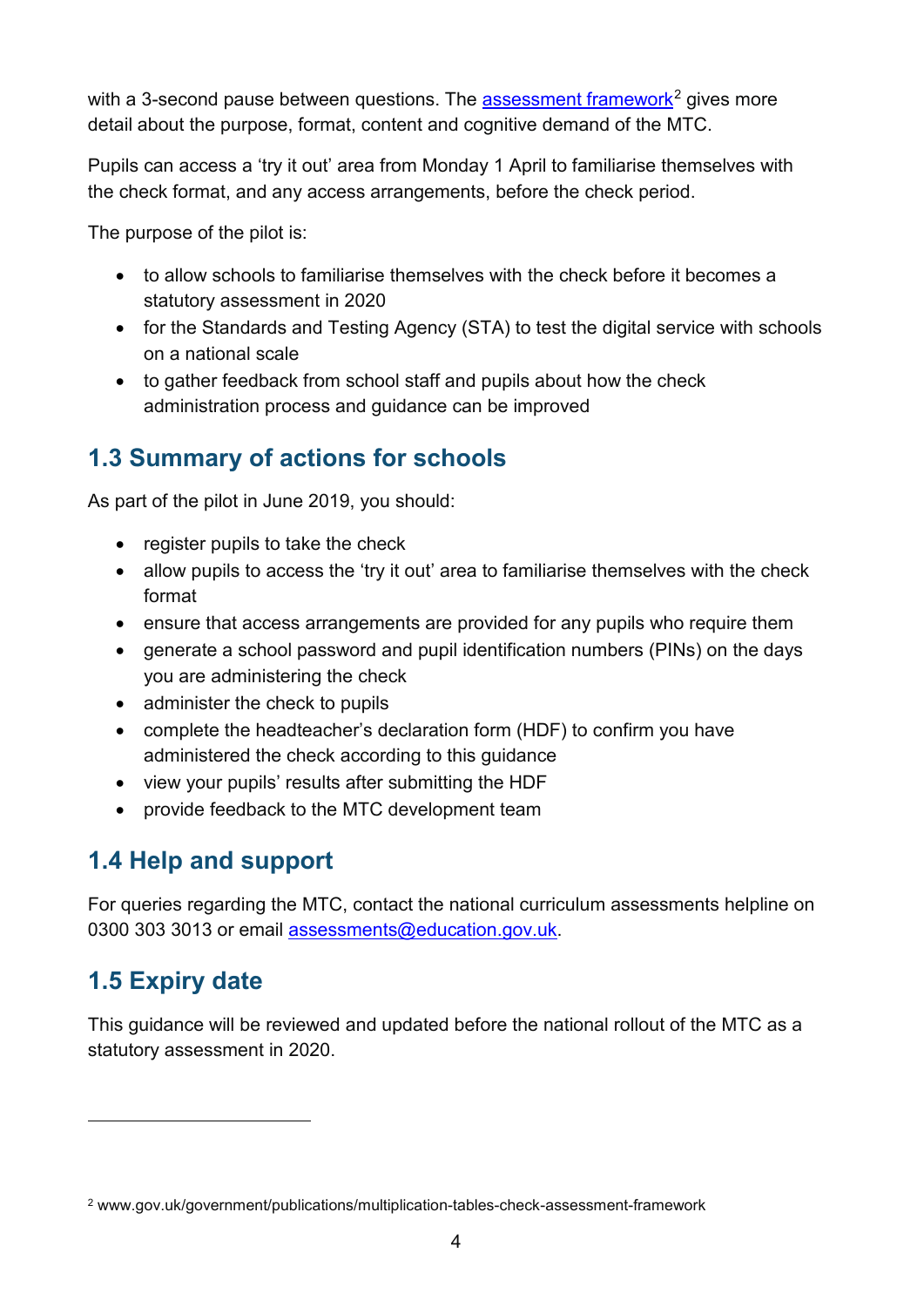with a 3-second pause between questions. The [assessment framework](https://www.gov.uk/government/publications/multiplication-tables-check-assessment-framework)<sup>[2](#page-3-3)</sup> gives more detail about the purpose, format, content and cognitive demand of the MTC.

Pupils can access a 'try it out' area from Monday 1 April to familiarise themselves with the check format, and any access arrangements, before the check period.

The purpose of the pilot is:

- to allow schools to familiarise themselves with the check before it becomes a statutory assessment in 2020
- for the Standards and Testing Agency (STA) to test the digital service with schools on a national scale
- to gather feedback from school staff and pupils about how the check administration process and guidance can be improved

## <span id="page-3-0"></span>**1.3 Summary of actions for schools**

As part of the pilot in June 2019, you should:

- register pupils to take the check
- allow pupils to access the 'try it out' area to familiarise themselves with the check format
- ensure that access arrangements are provided for any pupils who require them
- generate a school password and pupil identification numbers (PINs) on the days you are administering the check
- administer the check to pupils
- complete the headteacher's declaration form (HDF) to confirm you have administered the check according to this guidance
- view your pupils' results after submitting the HDF
- provide feedback to the MTC development team

## <span id="page-3-1"></span>**1.4 Help and support**

For queries regarding the MTC, contact the national curriculum assessments helpline on 0300 303 3013 or email [assessments@education.gov.uk.](mailto:assessments@education.gov.uk)

## <span id="page-3-2"></span>**1.5 Expiry date**

-

This guidance will be reviewed and updated before the national rollout of the MTC as a statutory assessment in 2020.

<span id="page-3-3"></span><sup>2</sup> www.gov.uk/government/publications/multiplication-tables-check-assessment-framework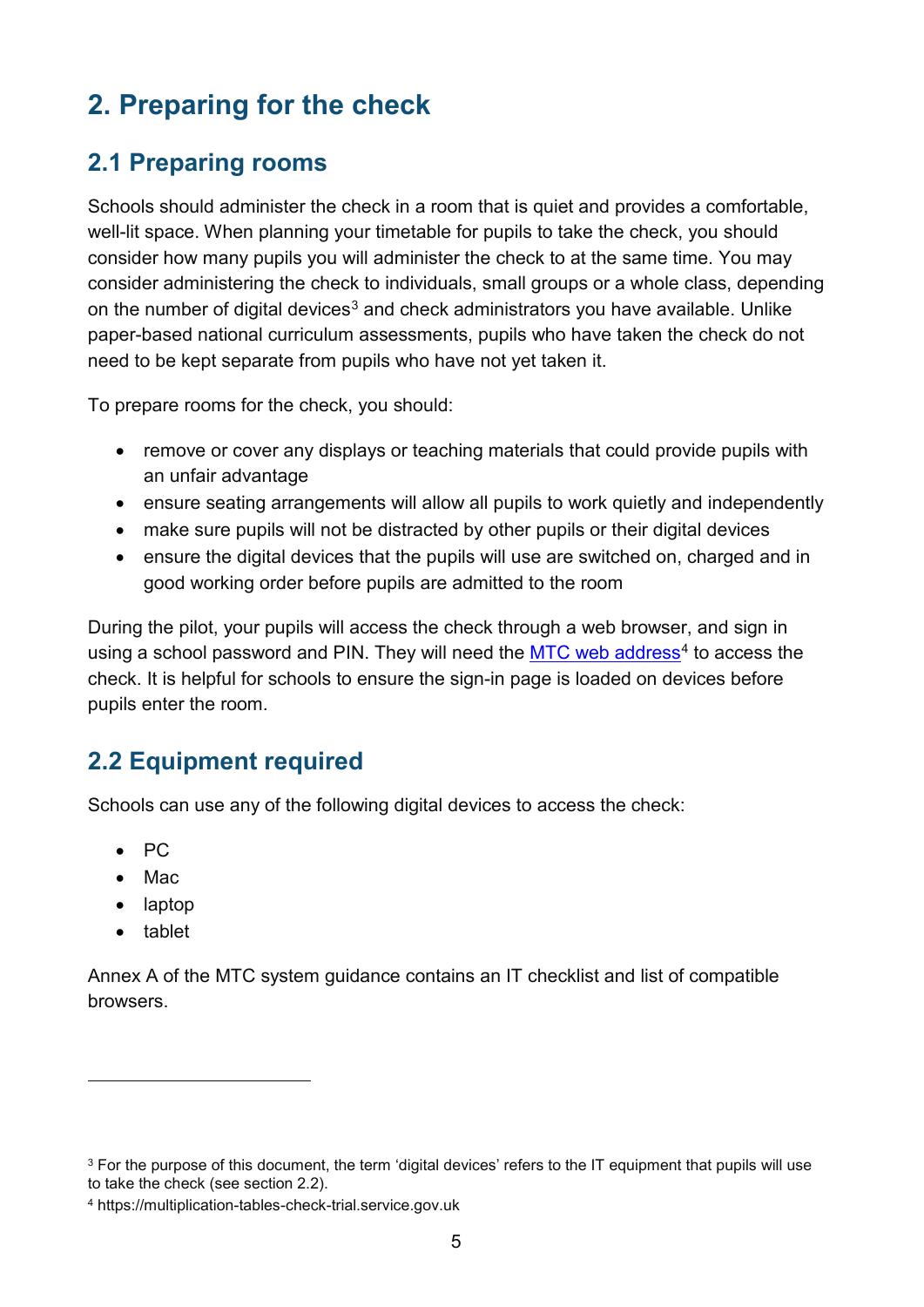# <span id="page-4-0"></span>**2. Preparing for the check**

## <span id="page-4-1"></span>**2.1 Preparing rooms**

Schools should administer the check in a room that is quiet and provides a comfortable, well-lit space. When planning your timetable for pupils to take the check, you should consider how many pupils you will administer the check to at the same time. You may consider administering the check to individuals, small groups or a whole class, depending on the number of digital devices<sup>[3](#page-4-3)</sup> and check administrators you have available. Unlike paper-based national curriculum assessments, pupils who have taken the check do not need to be kept separate from pupils who have not yet taken it.

To prepare rooms for the check, you should:

- remove or cover any displays or teaching materials that could provide pupils with an unfair advantage
- ensure seating arrangements will allow all pupils to work quietly and independently
- make sure pupils will not be distracted by other pupils or their digital devices
- ensure the digital devices that the pupils will use are switched on, charged and in good working order before pupils are admitted to the room

During the pilot, your pupils will access the check through a web browser, and sign in using a school password and PIN. They will need the  $MTC$  web address<sup>[4](#page-4-4)</sup> to access the check. It is helpful for schools to ensure the sign-in page is loaded on devices before pupils enter the room.

## <span id="page-4-2"></span>**2.2 Equipment required**

Schools can use any of the following digital devices to access the check:

- PC
- Mac
- laptop
- tablet

-

Annex A of the MTC system guidance contains an IT checklist and list of compatible browsers.

<span id="page-4-3"></span><sup>&</sup>lt;sup>3</sup> For the purpose of this document, the term 'digital devices' refers to the IT equipment that pupils will use to take the check (see section 2.2).

<span id="page-4-4"></span><sup>4</sup> https://multiplication-tables-check-trial.service.gov.uk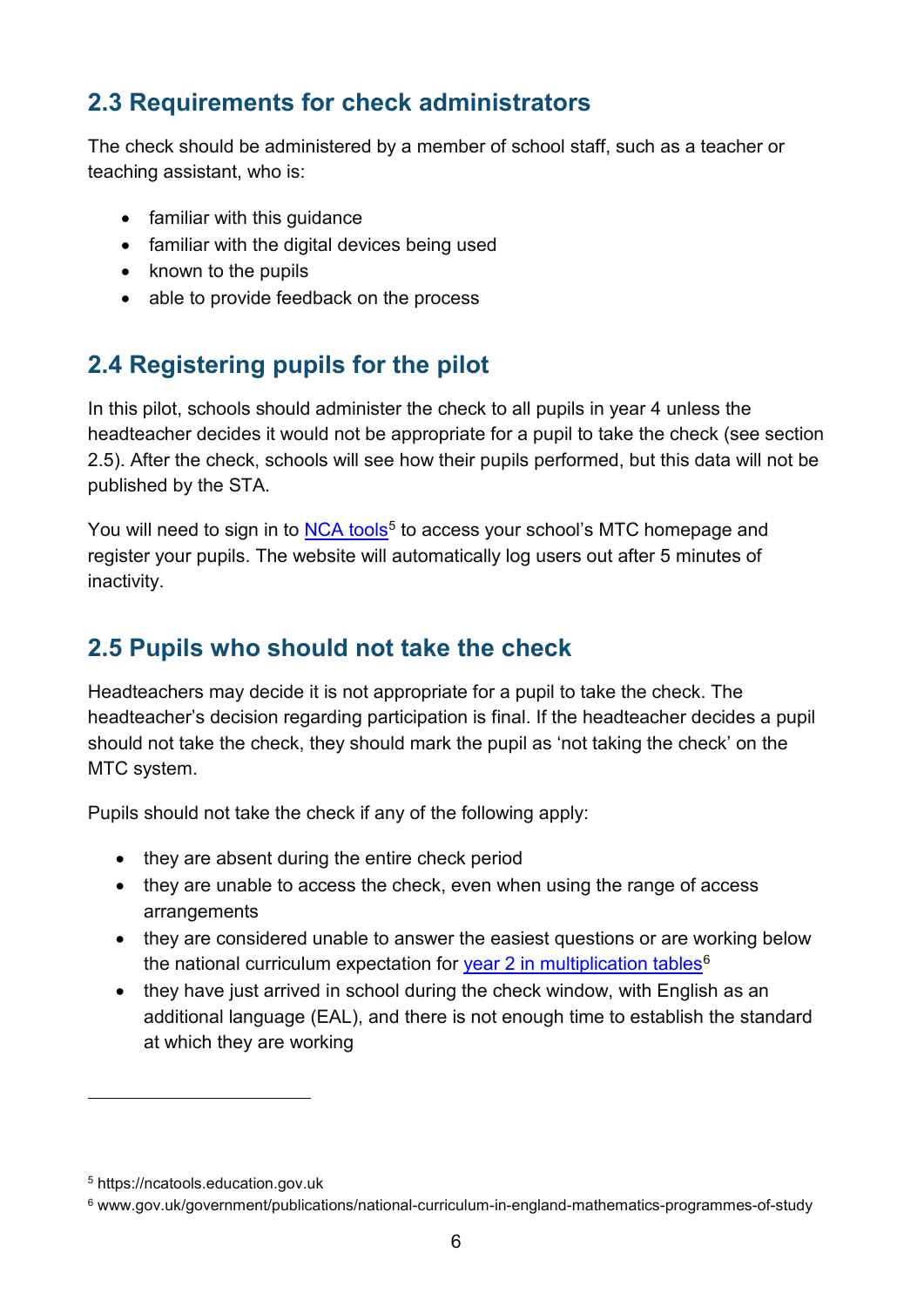## <span id="page-5-0"></span>**2.3 Requirements for check administrators**

The check should be administered by a member of school staff, such as a teacher or teaching assistant, who is:

- familiar with this guidance
- familiar with the digital devices being used
- known to the pupils
- able to provide feedback on the process

## <span id="page-5-1"></span>**2.4 Registering pupils for the pilot**

In this pilot, schools should administer the check to all pupils in year 4 unless the headteacher decides it would not be appropriate for a pupil to take the check (see section 2.5). After the check, schools will see how their pupils performed, but this data will not be published by the STA.

You will need to sign in to [NCA tools](https://ncatools.education.gov.uk/)<sup>[5](#page-5-3)</sup> to access your school's MTC homepage and register your pupils. The website will automatically log users out after 5 minutes of inactivity.

## <span id="page-5-2"></span>**2.5 Pupils who should not take the check**

Headteachers may decide it is not appropriate for a pupil to take the check. The headteacher's decision regarding participation is final. If the headteacher decides a pupil should not take the check, they should mark the pupil as 'not taking the check' on the MTC system.

Pupils should not take the check if any of the following apply:

- they are absent during the entire check period
- they are unable to access the check, even when using the range of access arrangements
- they are considered unable to answer the easiest questions or are working below the national curriculum expectation for [year 2 in multiplication tables](https://www.gov.uk/government/publications/national-curriculum-in-england-mathematics-programmes-of-study)<sup>[6](#page-5-4)</sup>
- they have just arrived in school during the check window, with English as an additional language (EAL), and there is not enough time to establish the standard at which they are working

 $\overline{a}$ 

<span id="page-5-3"></span><sup>5</sup> https://ncatools.education.gov.uk

<span id="page-5-4"></span><sup>6</sup> www.gov.uk/government/publications/national-curriculum-in-england-mathematics-programmes-of-study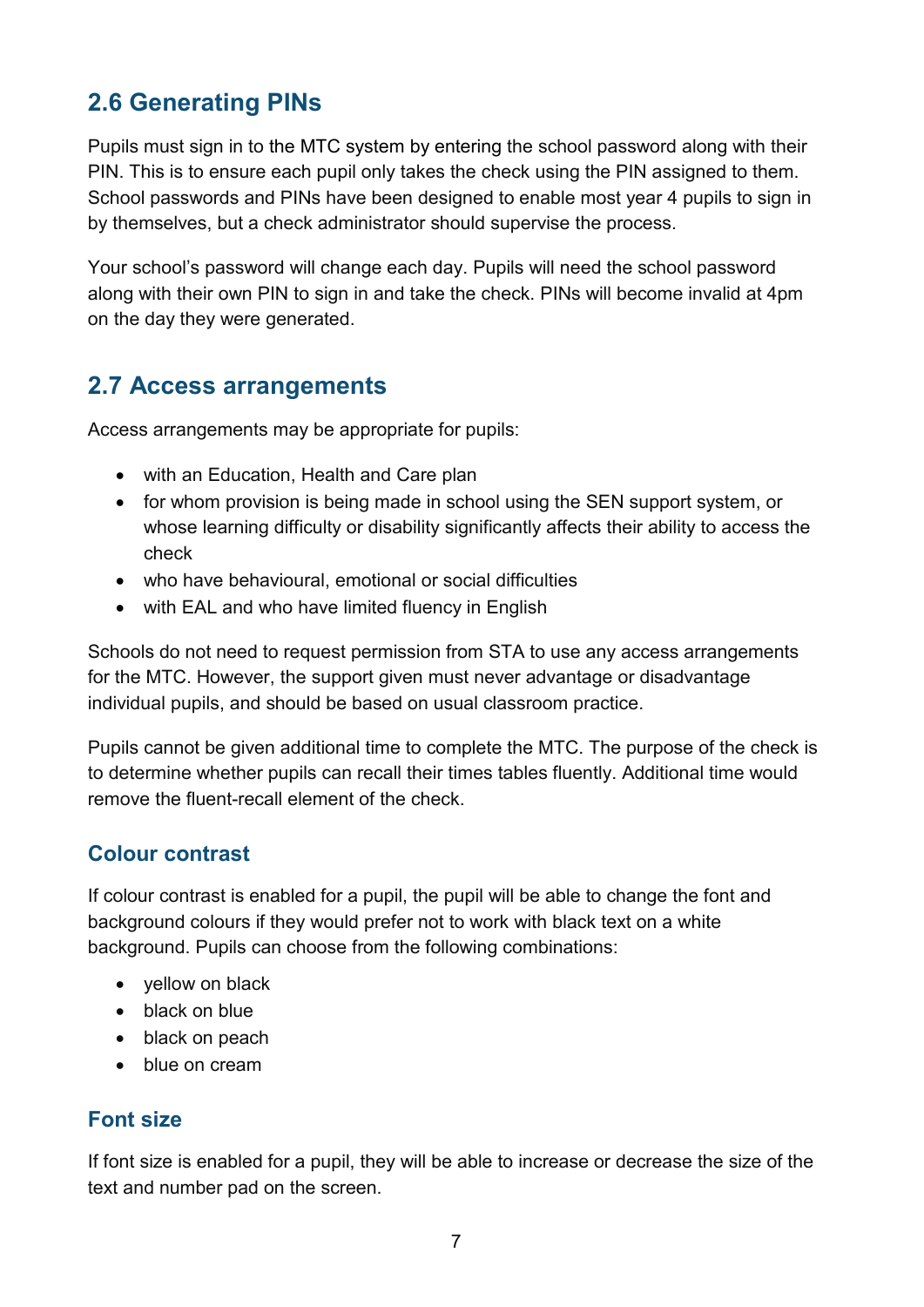## <span id="page-6-0"></span>**2.6 Generating PINs**

Pupils must sign in to the MTC system by entering the school password along with their PIN. This is to ensure each pupil only takes the check using the PIN assigned to them. School passwords and PINs have been designed to enable most year 4 pupils to sign in by themselves, but a check administrator should supervise the process.

Your school's password will change each day. Pupils will need the school password along with their own PIN to sign in and take the check. PINs will become invalid at 4pm on the day they were generated.

## <span id="page-6-1"></span>**2.7 Access arrangements**

Access arrangements may be appropriate for pupils:

- with an Education, Health and Care plan
- for whom provision is being made in school using the SEN support system, or whose learning difficulty or disability significantly affects their ability to access the check
- who have behavioural, emotional or social difficulties
- with EAL and who have limited fluency in English

Schools do not need to request permission from STA to use any access arrangements for the MTC. However, the support given must never advantage or disadvantage individual pupils, and should be based on usual classroom practice.

Pupils cannot be given additional time to complete the MTC. The purpose of the check is to determine whether pupils can recall their times tables fluently. Additional time would remove the fluent-recall element of the check.

#### **Colour contrast**

If colour contrast is enabled for a pupil, the pupil will be able to change the font and background colours if they would prefer not to work with black text on a white background. Pupils can choose from the following combinations:

- yellow on black
- black on blue
- black on peach
- blue on cream

#### **Font size**

If font size is enabled for a pupil, they will be able to increase or decrease the size of the text and number pad on the screen.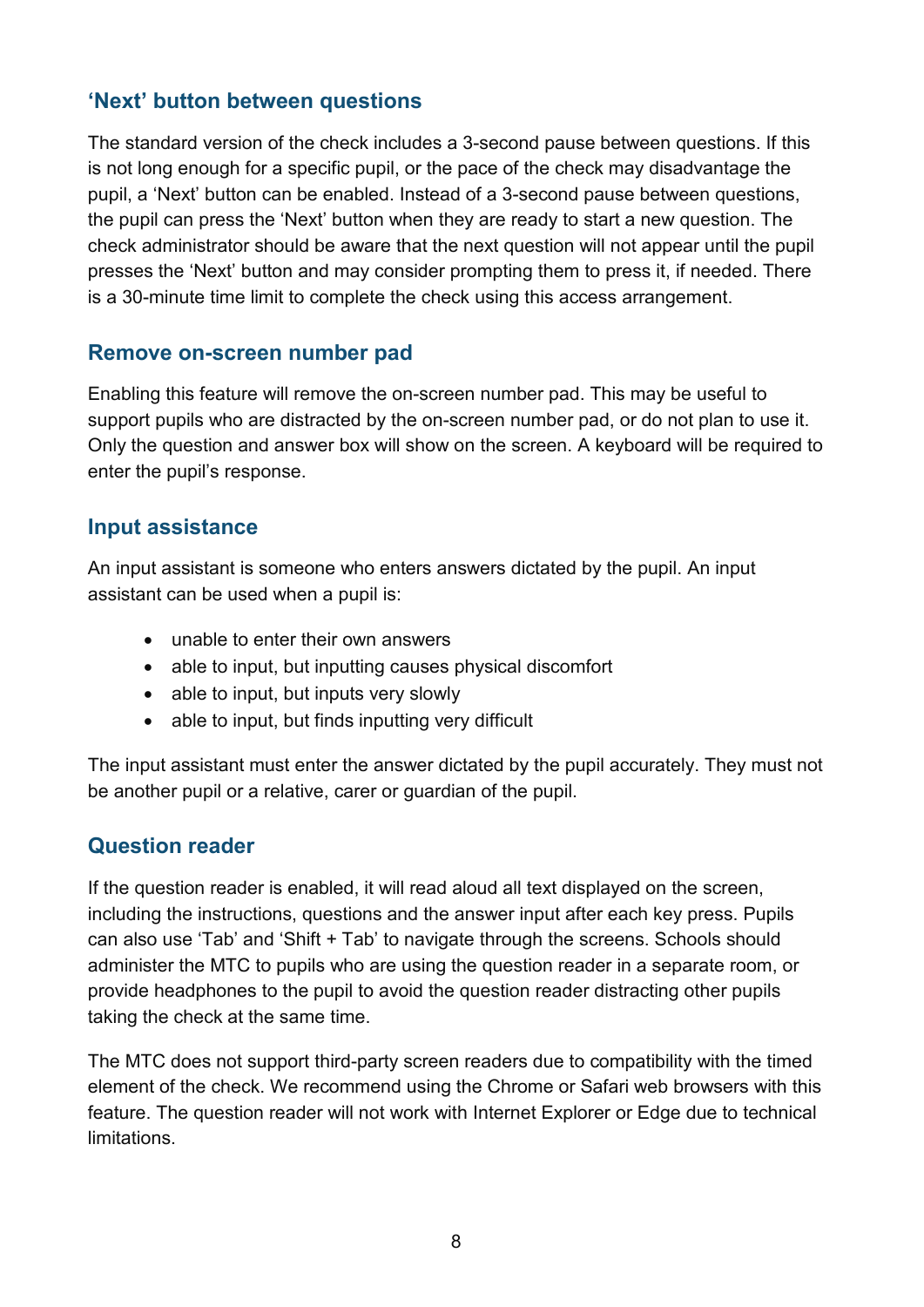#### **'Next' button between questions**

The standard version of the check includes a 3-second pause between questions. If this is not long enough for a specific pupil, or the pace of the check may disadvantage the pupil, a 'Next' button can be enabled. Instead of a 3-second pause between questions, the pupil can press the 'Next' button when they are ready to start a new question. The check administrator should be aware that the next question will not appear until the pupil presses the 'Next' button and may consider prompting them to press it, if needed. There is a 30-minute time limit to complete the check using this access arrangement.

#### **Remove on-screen number pad**

Enabling this feature will remove the on-screen number pad. This may be useful to support pupils who are distracted by the on-screen number pad, or do not plan to use it. Only the question and answer box will show on the screen. A keyboard will be required to enter the pupil's response.

#### **Input assistance**

An input assistant is someone who enters answers dictated by the pupil. An input assistant can be used when a pupil is:

- unable to enter their own answers
- able to input, but inputting causes physical discomfort
- able to input, but inputs very slowly
- able to input, but finds inputting very difficult

The input assistant must enter the answer dictated by the pupil accurately. They must not be another pupil or a relative, carer or guardian of the pupil.

#### **Question reader**

If the question reader is enabled, it will read aloud all text displayed on the screen, including the instructions, questions and the answer input after each key press. Pupils can also use 'Tab' and 'Shift + Tab' to navigate through the screens. Schools should administer the MTC to pupils who are using the question reader in a separate room, or provide headphones to the pupil to avoid the question reader distracting other pupils taking the check at the same time.

The MTC does not support third-party screen readers due to compatibility with the timed element of the check. We recommend using the Chrome or Safari web browsers with this feature. The question reader will not work with Internet Explorer or Edge due to technical limitations.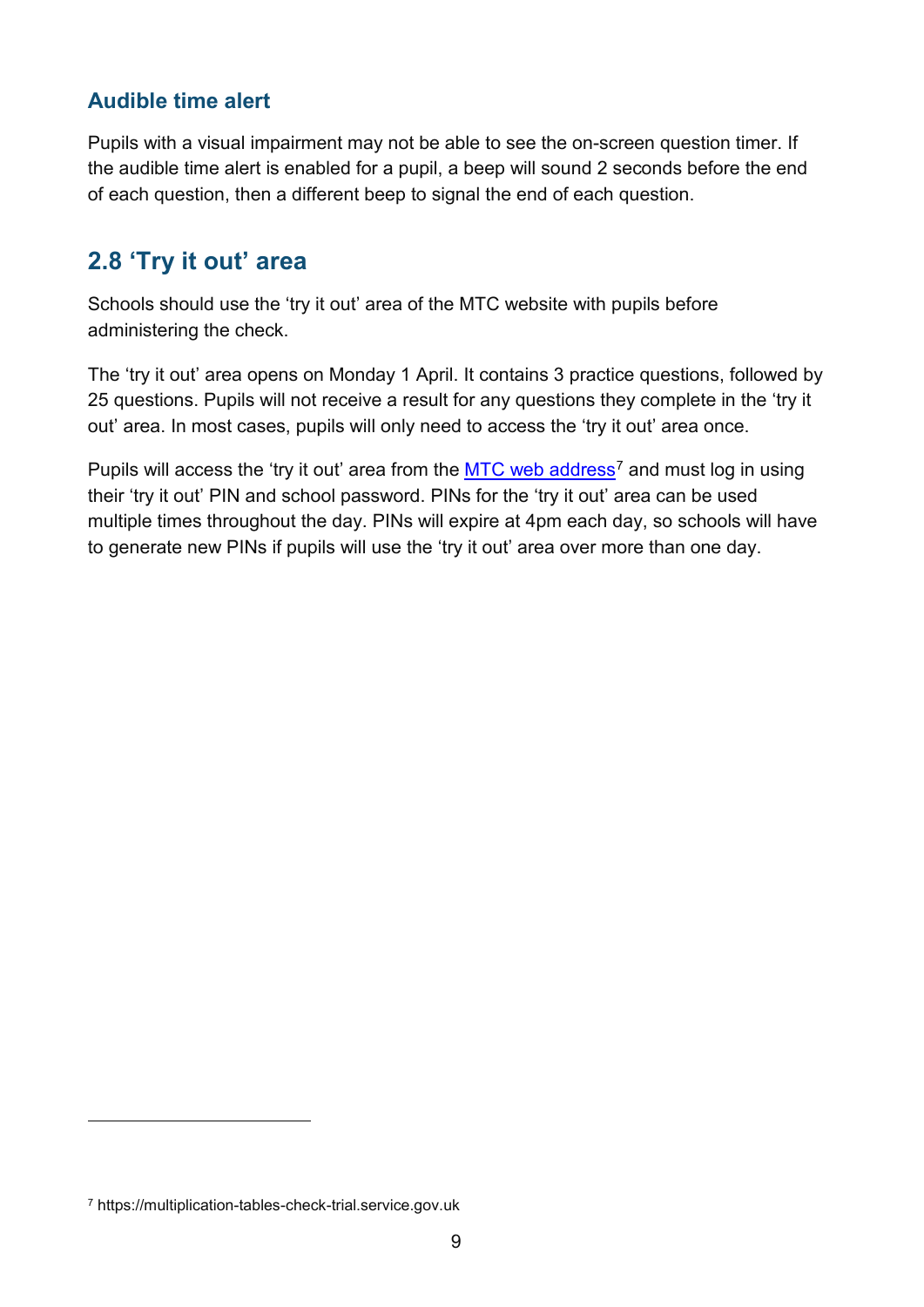#### **Audible time alert**

Pupils with a visual impairment may not be able to see the on-screen question timer. If the audible time alert is enabled for a pupil, a beep will sound 2 seconds before the end of each question, then a different beep to signal the end of each question.

### <span id="page-8-0"></span>**2.8 'Try it out' area**

Schools should use the 'try it out' area of the MTC website with pupils before administering the check.

The 'try it out' area opens on Monday 1 April. It contains 3 practice questions, followed by 25 questions. Pupils will not receive a result for any questions they complete in the 'try it out' area. In most cases, pupils will only need to access the 'try it out' area once.

Pupils will access the 'try it out' area from the  $MTC$  web address<sup>[7](#page-8-1)</sup> and must log in using their 'try it out' PIN and school password. PINs for the 'try it out' area can be used multiple times throughout the day. PINs will expire at 4pm each day, so schools will have to generate new PINs if pupils will use the 'try it out' area over more than one day.

-

<span id="page-8-1"></span><sup>7</sup> https://multiplication-tables-check-trial.service.gov.uk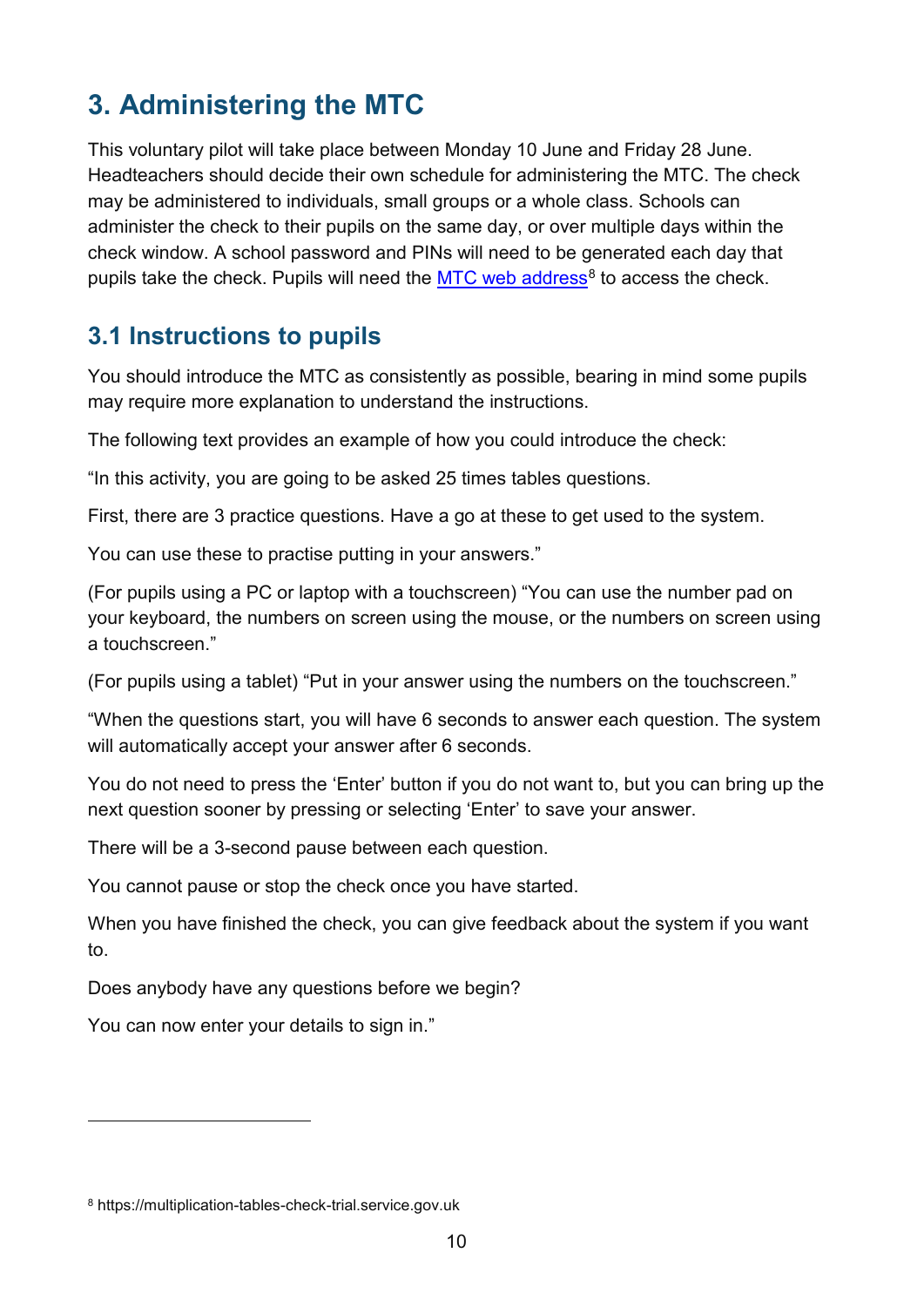# <span id="page-9-0"></span>**3. Administering the MTC**

This voluntary pilot will take place between Monday 10 June and Friday 28 June. Headteachers should decide their own schedule for administering the MTC. The check may be administered to individuals, small groups or a whole class. Schools can administer the check to their pupils on the same day, or over multiple days within the check window. A school password and PINs will need to be generated each day that pupils take the check. Pupils will need the  $MTC$  web address<sup>[8](#page-9-2)</sup> to access the check.

## <span id="page-9-1"></span>**3.1 Instructions to pupils**

You should introduce the MTC as consistently as possible, bearing in mind some pupils may require more explanation to understand the instructions.

The following text provides an example of how you could introduce the check:

"In this activity, you are going to be asked 25 times tables questions.

First, there are 3 practice questions. Have a go at these to get used to the system.

You can use these to practise putting in your answers."

(For pupils using a PC or laptop with a touchscreen) "You can use the number pad on your keyboard, the numbers on screen using the mouse, or the numbers on screen using a touchscreen."

(For pupils using a tablet) "Put in your answer using the numbers on the touchscreen."

"When the questions start, you will have 6 seconds to answer each question. The system will automatically accept your answer after 6 seconds.

You do not need to press the 'Enter' button if you do not want to, but you can bring up the next question sooner by pressing or selecting 'Enter' to save your answer.

There will be a 3-second pause between each question.

You cannot pause or stop the check once you have started.

When you have finished the check, you can give feedback about the system if you want to.

Does anybody have any questions before we begin?

You can now enter your details to sign in."

-

<span id="page-9-2"></span><sup>8</sup> https://multiplication-tables-check-trial.service.gov.uk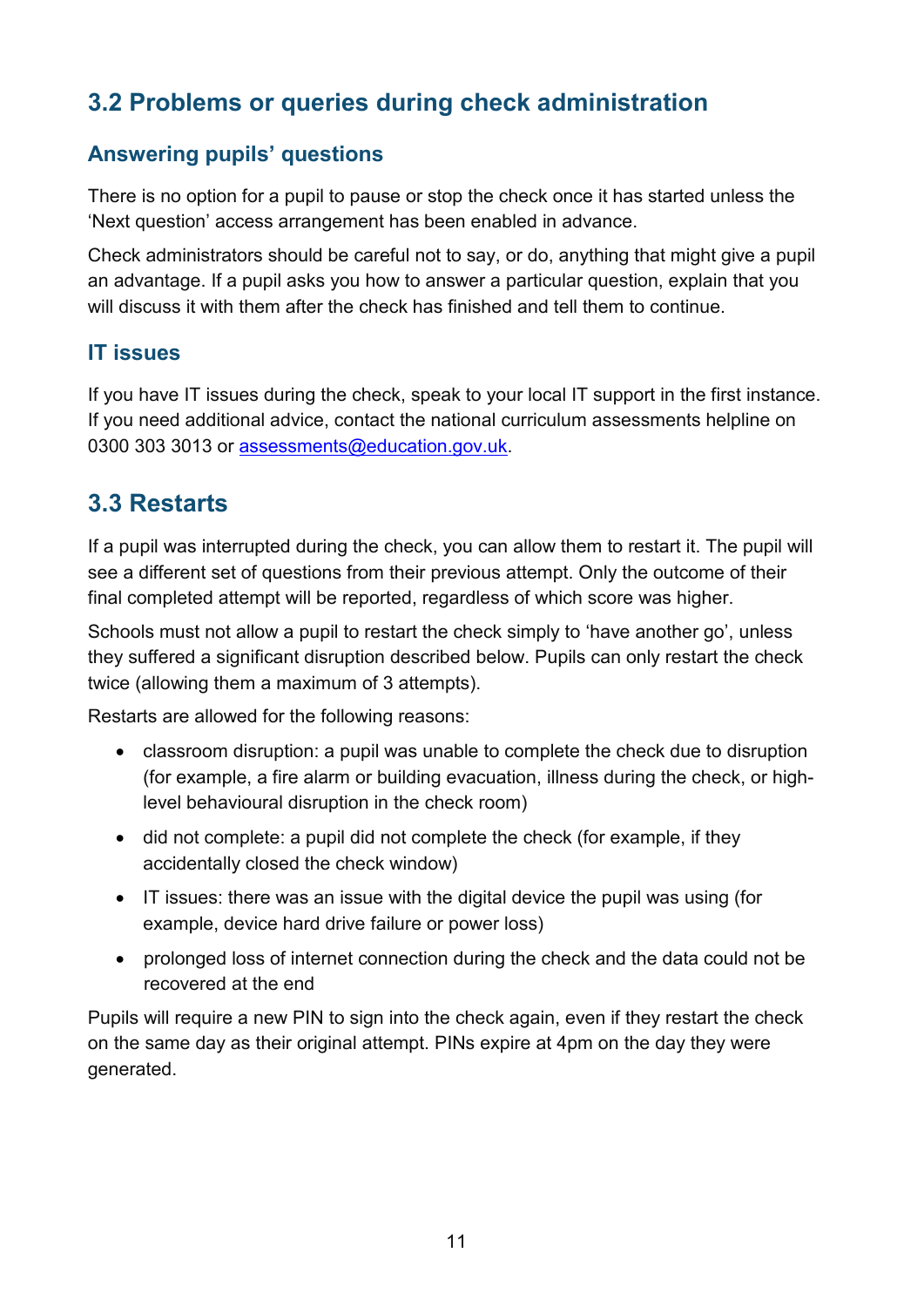## <span id="page-10-0"></span>**3.2 Problems or queries during check administration**

#### **Answering pupils' questions**

There is no option for a pupil to pause or stop the check once it has started unless the 'Next question' access arrangement has been enabled in advance.

Check administrators should be careful not to say, or do, anything that might give a pupil an advantage. If a pupil asks you how to answer a particular question, explain that you will discuss it with them after the check has finished and tell them to continue.

#### **IT issues**

If you have IT issues during the check, speak to your local IT support in the first instance. If you need additional advice, contact the national curriculum assessments helpline on 0300 303 3013 or [assessments@education.gov.uk.](mailto:assessments@education.gov.uk)

## <span id="page-10-1"></span>**3.3 Restarts**

If a pupil was interrupted during the check, you can allow them to restart it. The pupil will see a different set of questions from their previous attempt. Only the outcome of their final completed attempt will be reported, regardless of which score was higher.

Schools must not allow a pupil to restart the check simply to 'have another go', unless they suffered a significant disruption described below. Pupils can only restart the check twice (allowing them a maximum of 3 attempts).

Restarts are allowed for the following reasons:

- classroom disruption: a pupil was unable to complete the check due to disruption (for example, a fire alarm or building evacuation, illness during the check, or highlevel behavioural disruption in the check room)
- did not complete: a pupil did not complete the check (for example, if they accidentally closed the check window)
- IT issues: there was an issue with the digital device the pupil was using (for example, device hard drive failure or power loss)
- prolonged loss of internet connection during the check and the data could not be recovered at the end

Pupils will require a new PIN to sign into the check again, even if they restart the check on the same day as their original attempt. PINs expire at 4pm on the day they were generated.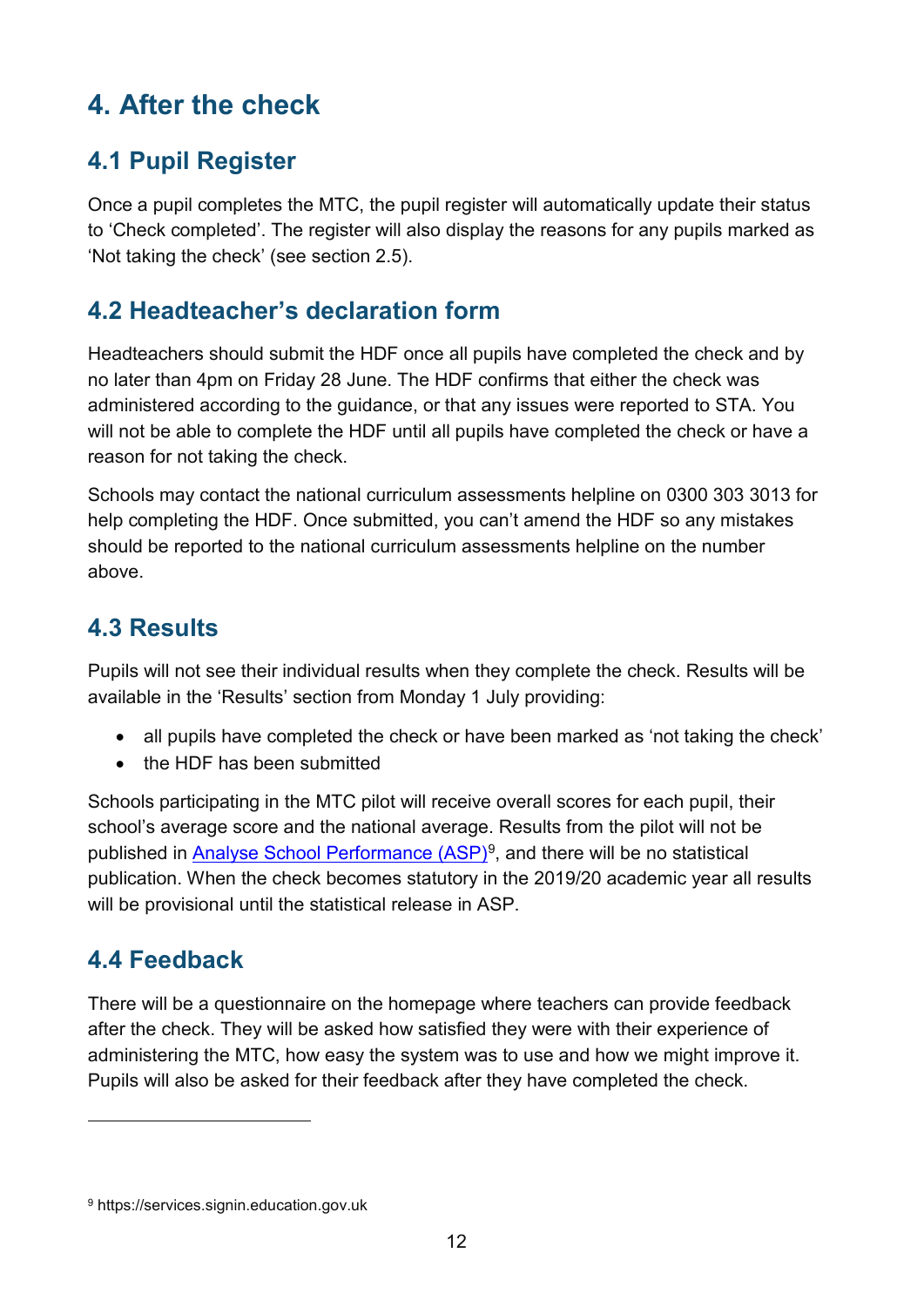# <span id="page-11-0"></span>**4. After the check**

## <span id="page-11-1"></span>**4.1 Pupil Register**

Once a pupil completes the MTC, the pupil register will automatically update their status to 'Check completed'. The register will also display the reasons for any pupils marked as 'Not taking the check' (see section 2.5).

## <span id="page-11-2"></span>**4.2 Headteacher's declaration form**

Headteachers should submit the HDF once all pupils have completed the check and by no later than 4pm on Friday 28 June. The HDF confirms that either the check was administered according to the guidance, or that any issues were reported to STA. You will not be able to complete the HDF until all pupils have completed the check or have a reason for not taking the check.

Schools may contact the national curriculum assessments helpline on 0300 303 3013 for help completing the HDF. Once submitted, you can't amend the HDF so any mistakes should be reported to the national curriculum assessments helpline on the number above.

## <span id="page-11-3"></span>**4.3 Results**

Pupils will not see their individual results when they complete the check. Results will be available in the 'Results' section from Monday 1 July providing:

- all pupils have completed the check or have been marked as 'not taking the check'
- the HDF has been submitted

Schools participating in the MTC pilot will receive overall scores for each pupil, their school's average score and the national average. Results from the pilot will not be published in [Analyse School Performance \(ASP\)](https://services.signin.education.gov.uk/)<sup>[9](#page-11-5)</sup>, and there will be no statistical publication. When the check becomes statutory in the 2019/20 academic year all results will be provisional until the statistical release in ASP.

## <span id="page-11-4"></span>**4.4 Feedback**

-

There will be a questionnaire on the homepage where teachers can provide feedback after the check. They will be asked how satisfied they were with their experience of administering the MTC, how easy the system was to use and how we might improve it. Pupils will also be asked for their feedback after they have completed the check.

<span id="page-11-5"></span><sup>9</sup> https://services.signin.education.gov.uk